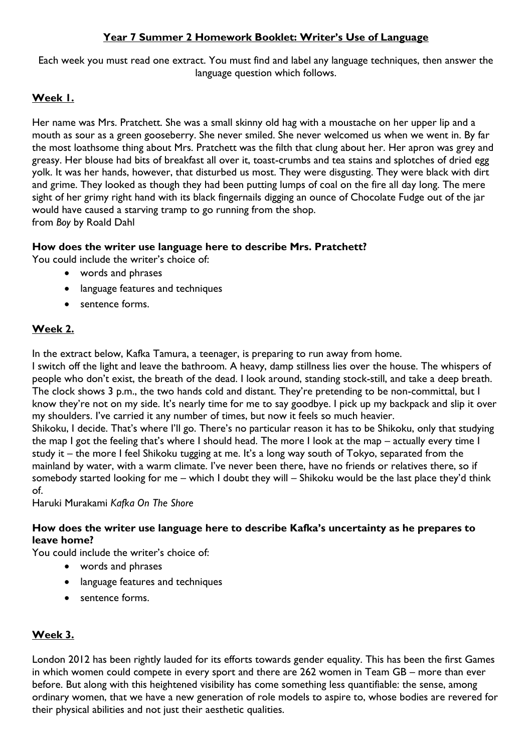## **Year 7 Summer 2 Homework Booklet: Writer's Use of Language**

Each week you must read one extract. You must find and label any language techniques, then answer the language question which follows.

# **Week 1.**

Her name was Mrs. Pratchett. She was a small skinny old hag with a moustache on her upper lip and a mouth as sour as a green gooseberry. She never smiled. She never welcomed us when we went in. By far the most loathsome thing about Mrs. Pratchett was the filth that clung about her. Her apron was grey and greasy. Her blouse had bits of breakfast all over it, toast-crumbs and tea stains and splotches of dried egg yolk. It was her hands, however, that disturbed us most. They were disgusting. They were black with dirt and grime. They looked as though they had been putting lumps of coal on the fire all day long. The mere sight of her grimy right hand with its black fingernails digging an ounce of Chocolate Fudge out of the jar would have caused a starving tramp to go running from the shop. from *Boy* by Roald Dahl

## **How does the writer use language here to describe Mrs. Pratchett?**

You could include the writer's choice of:

- words and phrases
- language features and techniques
- sentence forms.

# **Week 2.**

In the extract below, Kafka Tamura, a teenager, is preparing to run away from home.

I switch off the light and leave the bathroom. A heavy, damp stillness lies over the house. The whispers of people who don't exist, the breath of the dead. I look around, standing stock-still, and take a deep breath. The clock shows 3 p.m., the two hands cold and distant. They're pretending to be non-committal, but I know they're not on my side. It's nearly time for me to say goodbye. I pick up my backpack and slip it over my shoulders. I've carried it any number of times, but now it feels so much heavier.

Shikoku, I decide. That's where I'll go. There's no particular reason it has to be Shikoku, only that studying the map I got the feeling that's where I should head. The more I look at the map – actually every time I study it – the more I feel Shikoku tugging at me. It's a long way south of Tokyo, separated from the mainland by water, with a warm climate. I've never been there, have no friends or relatives there, so if somebody started looking for me – which I doubt they will – Shikoku would be the last place they'd think of.

Haruki Murakami *Kafka On The Shore* 

#### **How does the writer use language here to describe Kafka's uncertainty as he prepares to leave home?**

You could include the writer's choice of:

- words and phrases
- language features and techniques
- sentence forms.

## **Week 3.**

London 2012 has been rightly lauded for its efforts towards gender equality. This has been the first Games in which women could compete in every sport and there are 262 women in Team GB – more than ever before. But along with this heightened visibility has come something less quantifiable: the sense, among ordinary women, that we have a new generation of role models to aspire to, whose bodies are revered for their physical abilities and not just their aesthetic qualities.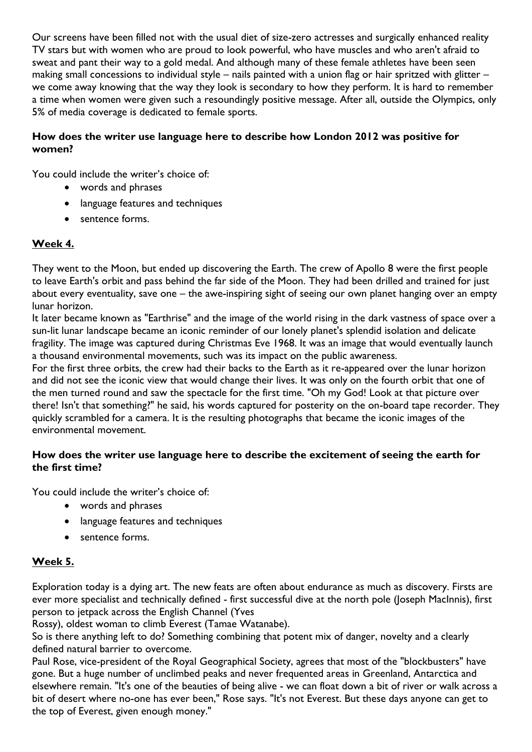Our screens have been filled not with the usual diet of size-zero actresses and surgically enhanced reality TV stars but with women who are proud to look powerful, who have muscles and who aren't afraid to sweat and pant their way to a gold medal. And although many of these female athletes have been seen making small concessions to individual style – nails painted with a union flag or hair spritzed with glitter – we come away knowing that the way they look is secondary to how they perform. It is hard to remember a time when women were given such a resoundingly positive message. After all, outside the Olympics, only 5% of media coverage is dedicated to female sports.

### **How does the writer use language here to describe how London 2012 was positive for women?**

You could include the writer's choice of:

- words and phrases
- language features and techniques
- sentence forms.

# **Week 4.**

They went to the Moon, but ended up discovering the Earth. The crew of Apollo 8 were the first people to leave Earth's orbit and pass behind the far side of the Moon. They had been drilled and trained for just about every eventuality, save one – the awe-inspiring sight of seeing our own planet hanging over an empty lunar horizon.

It later became known as "Earthrise" and the image of the world rising in the dark vastness of space over a sun-lit lunar landscape became an iconic reminder of our lonely planet's splendid isolation and delicate fragility. The image was captured during Christmas Eve 1968. It was an image that would eventually launch a thousand environmental movements, such was its impact on the public awareness.

For the first three orbits, the crew had their backs to the Earth as it re-appeared over the lunar horizon and did not see the iconic view that would change their lives. It was only on the fourth orbit that one of the men turned round and saw the spectacle for the first time. "Oh my God! Look at that picture over there! Isn't that something?" he said, his words captured for posterity on the on-board tape recorder. They quickly scrambled for a camera. It is the resulting photographs that became the iconic images of the environmental movement.

#### **How does the writer use language here to describe the excitement of seeing the earth for the first time?**

You could include the writer's choice of:

- words and phrases
- language features and techniques
- sentence forms.

## **Week 5.**

Exploration today is a dying art. The new feats are often about endurance as much as discovery. Firsts are ever more specialist and technically defined - first successful dive at the north pole (Joseph MacInnis), first person to jetpack across the English Channel (Yves

Rossy), oldest woman to climb Everest (Tamae Watanabe).

So is there anything left to do? Something combining that potent mix of danger, novelty and a clearly defined natural barrier to overcome.

Paul Rose, vice-president of the Royal Geographical Society, agrees that most of the "blockbusters" have gone. But a huge number of unclimbed peaks and never frequented areas in Greenland, Antarctica and elsewhere remain. "It's one of the beauties of being alive - we can float down a bit of river or walk across a bit of desert where no-one has ever been," Rose says. "It's not Everest. But these days anyone can get to the top of Everest, given enough money."